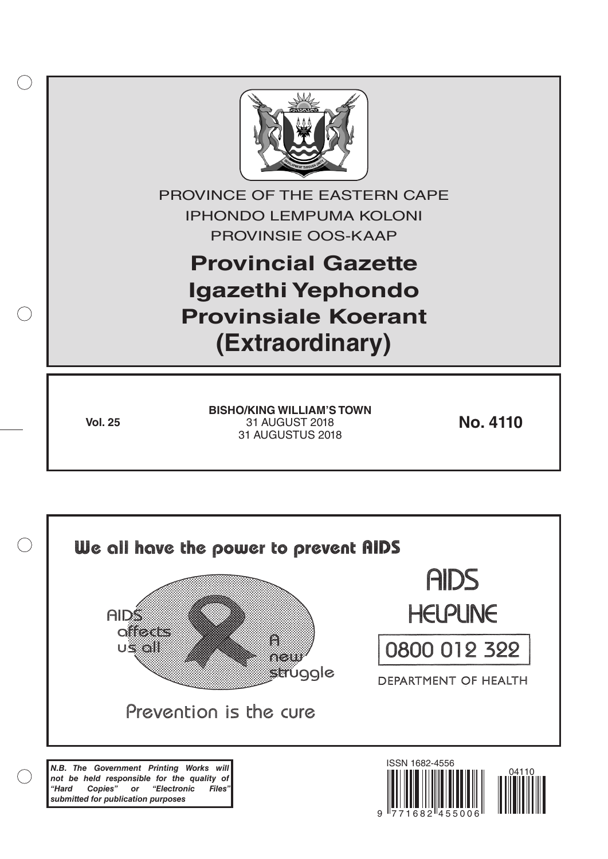

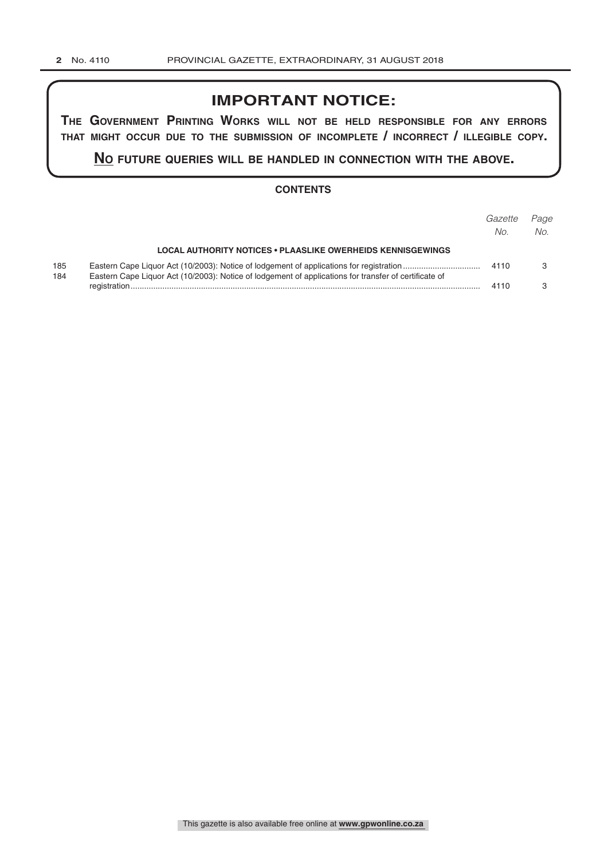# **IMPORTANT NOTICE:**

**The GovernmenT PrinTinG Works Will noT be held resPonsible for any errors ThaT miGhT occur due To The submission of incomPleTe / incorrecT / illeGible coPy.**

**no fuTure queries Will be handled in connecTion WiTh The above.**

### **CONTENTS**

|            |                                                                                                       | Gazette<br>No. | Page<br>No. |
|------------|-------------------------------------------------------------------------------------------------------|----------------|-------------|
|            | <b>LOCAL AUTHORITY NOTICES • PLAASLIKE OWERHEIDS KENNISGEWINGS</b>                                    |                |             |
| 185<br>184 | Eastern Cape Liquor Act (10/2003): Notice of lodgement of applications for transfer of certificate of |                |             |
|            |                                                                                                       | 4110           |             |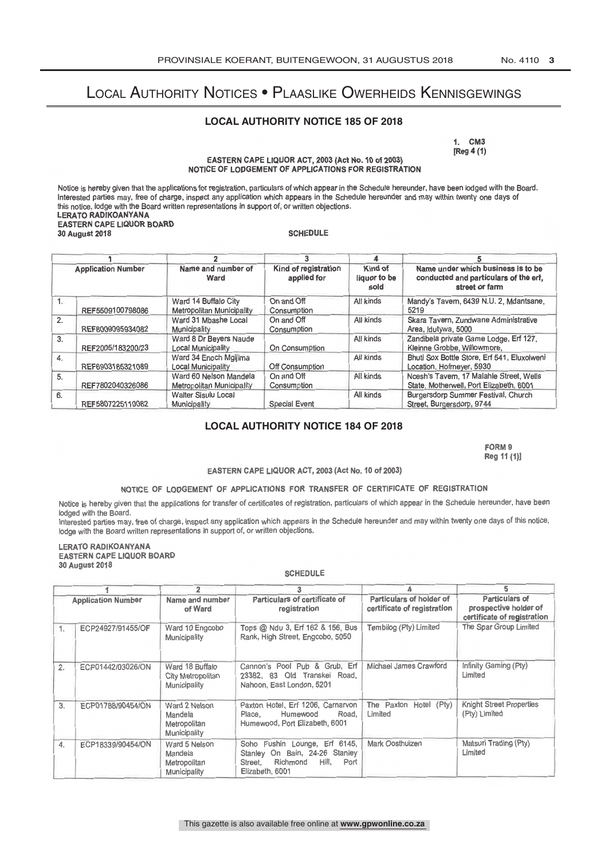# Local Authority Notices • Plaaslike Owerheids Kennisgewings

### **LOCAL AUTHORITY NOTICE 185 OF 2018**

1. CM3 [Reg 4 (1)

EASTERN CAPE LIQUOR ACT, 2003 (Act No. 10 of 2003) NOTICE OF LODGEMENT OF APPLICATIONS FOR REGISTRATION

Notice is hereby given that the applications for registration, particulars of which appear in the Schedule hereunder, have been lodged with the Board.<br>Interested parties may, free of charge, inspect any application which a EASTERN CAPE LIQUOR BOARD<br>30 August 2018 30 August 2018 SCHEDULE

| <b>Application Number</b> |                   |                                                                   |                           | 4                               |                                                                                               |
|---------------------------|-------------------|-------------------------------------------------------------------|---------------------------|---------------------------------|-----------------------------------------------------------------------------------------------|
|                           |                   | Name and number of<br>Kind of registration<br>applied for<br>Ward |                           | Kind of<br>liquor to be<br>sold | Name under which business is to be<br>conducted and particulars of the erf,<br>street or farm |
| $1_{-}$                   | REF5509100798086  | Ward 14 Buffalo City<br>Metropolitan Municipality                 | On and Off<br>Consumption | All kinds                       | Mandy's Tavem, 6439 N.U. 2, Mdantsane,<br>5219                                                |
| 2.                        | REF8009095934082  | Ward 31 Mbashe Local<br>Municipality                              | On and Off<br>Consumption | All kinds                       | Skara Tavern, Zundwane Administrative<br>Area, Idutywa, 5000                                  |
| 3.                        | REF2005/183200/23 | Ward 8 Dr Beyers Naude<br><b>Local Municipality</b>               | On Consumption            | All kinds                       | Zandibela private Game Lodge, Erf 127,<br>Kleinne Grobbe, Willowmore,                         |
| $\overline{4}$            | REF6903185321089  | Ward 34 Enoch Mailima<br><b>Local Municipality</b>                | Off Consumption           | All kinds                       | Bhuti Sox Bottle Store, Erf 541, Eluxolweni<br>Location, Hofmeyer, 5930                       |
| 5.                        | REF7802040326086  | Ward 60 Nelson Mandela<br>Metropolitan Municipality               | On and Off<br>Consumption | All kinds                       | Noesh's Tavem, 17 Malahle Street, Wells<br>State, Motherwell, Port Elizabeth, 6001            |
| 6.                        | REF5807225110082  | <b>Walter Sisulu Local</b><br>Municipality                        | <b>Special Event</b>      | All kinds                       | Burgersdorp Summer Festival, Church<br>Street, Burgersdorp, 9744                              |

### **LOCAL AUTHORITY NOTICE 184 OF 2018**

FORM 9 Reg 11 (1)]

#### EASTERN CAPE LIQUOR ACT, 2003 (Act No. 10 of 2003)

# NOTICE OF LODGEMENT OF APPLICATIONS FOR TRANSFER OF CERTIFICATE OF REGISTRATION

Notice is hereby given that the applications for transfer of certificates of registration, particulars of which appear in the Schedule hereunder, have been<br>lodged with the Board.

Interested parties may, free of charge, inspect any application which appears in the schedule heredition and may within twonty one days or the house,<br>lodge with the Board written representations in support of, or written o

LERATO RADIKOANYANA EASTERN CAPE LIQUOR BOARD 30 August 2018

| 2<br>Name and number<br><b>Application Number</b><br>of Ward |                   | 3                                                        |                                                                                                                               | 5                                                       |                                                                        |
|--------------------------------------------------------------|-------------------|----------------------------------------------------------|-------------------------------------------------------------------------------------------------------------------------------|---------------------------------------------------------|------------------------------------------------------------------------|
|                                                              |                   | Particulars of certificate of<br>registration            |                                                                                                                               | Particulars of holder of<br>certificate of registration | Particulars of<br>prospective holder of<br>certificate of registration |
| 1.                                                           | ECP24927/91455/OF | Ward 10 Engcobo<br>Municipality                          | Tops @ Ndu 3, Erf 162 & 156, Bus<br>Rank, High Street, Engcobo, 5050                                                          | Tembilog (Pty) Limited                                  | The Spar Group Limited                                                 |
| 2.                                                           | ECP01442/03026/ON | Ward 18 Buffalo<br>City Metropolitan<br>Municipality     | Cannon's Pool Pub & Grub, Erf<br>23382, 83 Old Transkei<br>Road,<br>Nahoon, East London, 5201                                 | Michael James Crawford                                  | Infinity Gaming (Pty)<br>Limited                                       |
| 3.                                                           | ECP01788/90454/ON | Ward 2 Nelson<br>Mandela<br>Metropolitan<br>Municipality | Paxton Hotel, Erf 1206, Carnarvon<br>Humewood<br>Road.<br>Place,<br>Humewood, Port Elizabeth, 6001                            | The Paxton Hotel (Pty)<br>Limited                       | Knight Street Properties<br>(Pty) Limited                              |
| 4.                                                           | ECP18339/90454/ON | Ward 5 Nelson<br>Mandela<br>Metropolitan<br>Municipality | Soho Fushin Lounge, Erf 6145,<br>Stanley On Bain, 24-26<br>Stanley<br>Hill.<br>Port<br>Richmond<br>Street,<br>Elizabeth, 6001 | Mark Oosthuizen                                         | Matsuri Trading (Pty)<br>Limited                                       |